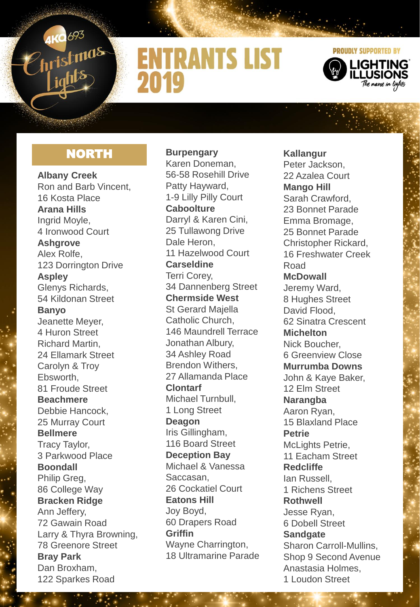

## **ENTRANTS LIST** 2019



#### **NORTH**

**Albany Creek** Ron and Barb Vincent, 16 Kosta Place **Arana Hills**  Ingrid Moyle, 4 Ironwood Court **Ashgrove**  Alex Rolfe, 123 Dorrington Drive **Aspley**  Glenys Richards, 54 Kildonan Street **Banyo**  Jeanette Meyer, 4 Huron Street Richard Martin, 24 Ellamark Street Carolyn & Troy Ebsworth, 81 Froude Street **Beachmere**  Debbie Hancock, 25 Murray Court **Bellmere** Tracy Taylor, 3 Parkwood Place **Boondall**  Philip Greg. 86 College Way **Bracken Ridge**  Ann Jeffery, 72 Gawain Road Larry & Thyra Browning, 78 Greenore Street **Bray Park**  Dan Broxham, 122 Sparkes Road

**Burpengary**  Karen Doneman, 56-58 Rosehill Drive Patty Hayward, 1-9 Lilly Pilly Court **Caboolture**  Darryl & Karen Cini, 25 Tullawong Drive Dale Heron, 11 Hazelwood Court **Carseldine**  Terri Corey, 34 Dannenberg Street **Chermside West**  St Gerard Majella Catholic Church, 146 Maundrell Terrace Jonathan Albury, 34 Ashley Road Brendon Withers, 27 Allamanda Place **Clontarf**  Michael Turnbull, 1 Long Street **Deagon**  Iris Gillingham, 116 Board Street **Deception Bay**  Michael & Vanessa Saccasan, 26 Cockatiel Court **Eatons Hill**  Joy Boyd, 60 Drapers Road **Griffin**  Wayne Charrington, 18 Ultramarine Parade

**Kallangur**  Peter Jackson, 22 Azalea Court **Mango Hill** Sarah Crawford, 23 Bonnet Parade Emma Bromage, 25 Bonnet Parade Christopher Rickard, 16 Freshwater Creek Road **McDowall**  Jeremy Ward, 8 Hughes Street David Flood, 62 Sinatra Crescent **Michelton** Nick Boucher, 6 Greenview Close **Murrumba Downs**  John & Kaye Baker, 12 Elm Street **Narangba**  Aaron Ryan, 15 Blaxland Place **Petrie**  McLights Petrie. 11 Eacham Street **Redcliffe**  Ian Russell, 1 Richens Street **Rothwell**  Jesse Ryan, 6 Dobell Street **Sandgate** Sharon Carroll-Mullins, Shop 9 Second Avenue Anastasia Holmes, 1 Loudon Street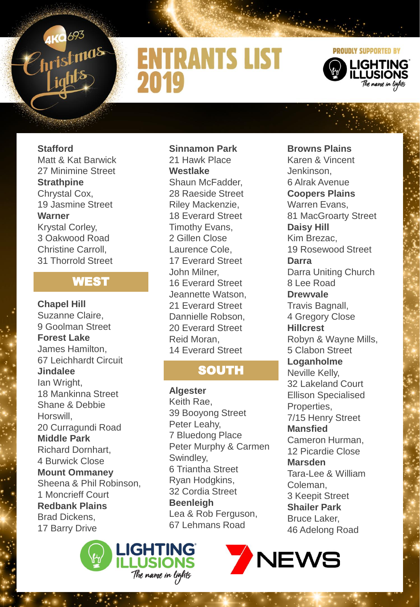

# **ENTRANTS LIST** 2019



### **Stafford**

Matt & Kat Barwick 27 Minimine Street **Strathpine**  Chrystal Cox, 19 Jasmine Street **Warner**  Krystal Corley, 3 Oakwood Road Christine Carroll, 31 Thorrold Street

#### WEST

**Chapel Hill**  Suzanne Claire, 9 Goolman Street **Forest Lake**  James Hamilton, 67 Leichhardt Circuit **Jindalee**  Ian Wright, 18 Mankinna Street Shane & Debbie Horswill, 20 Curragundi Road **Middle Park**  Richard Dornhart, 4 Burwick Close **Mount Ommaney**  Sheena & Phil Robinson, 1 Moncrieff Court **Redbank Plains**  Brad Dickens, 17 Barry Drive



**Sinnamon Park**  21 Hawk Place **Westlake**  Shaun McFadder, 28 Raeside Street Riley Mackenzie, 18 Everard Street Timothy Evans, 2 Gillen Close Laurence Cole, 17 Everard Street John Milner, 16 Everard Street Jeannette Watson, 21 Everard Street Dannielle Robson, 20 Everard Street Reid Moran, 14 Everard Street

### **SOUTH**

**Algester**  Keith Rae, 39 Booyong Street Peter Leahy, 7 Bluedong Place Peter Murphy & Carmen Swindley, 6 Triantha Street Ryan Hodgkins, 32 Cordia Street **Beenleigh** Lea & Rob Ferguson, 67 Lehmans Road